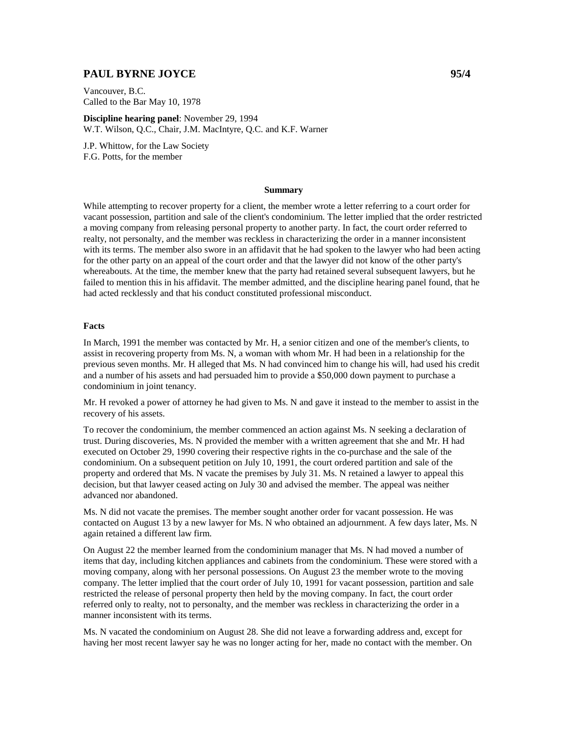# **PAUL BYRNE JOYCE 95/4**  95/4

Vancouver, B.C. Called to the Bar May 10, 1978

**Discipline hearing panel**: November 29, 1994 W.T. Wilson, Q.C., Chair, J.M. MacIntyre, Q.C. and K.F. Warner

J.P. Whittow, for the Law Society F.G. Potts, for the member

#### **Summary**

While attempting to recover property for a client, the member wrote a letter referring to a court order for vacant possession, partition and sale of the client's condominium. The letter implied that the order restricted a moving company from releasing personal property to another party. In fact, the court order referred to realty, not personalty, and the member was reckless in characterizing the order in a manner inconsistent with its terms. The member also swore in an affidavit that he had spoken to the lawyer who had been acting for the other party on an appeal of the court order and that the lawyer did not know of the other party's whereabouts. At the time, the member knew that the party had retained several subsequent lawyers, but he failed to mention this in his affidavit. The member admitted, and the discipline hearing panel found, that he had acted recklessly and that his conduct constituted professional misconduct.

### **Facts**

In March, 1991 the member was contacted by Mr. H, a senior citizen and one of the member's clients, to assist in recovering property from Ms. N, a woman with whom Mr. H had been in a relationship for the previous seven months. Mr. H alleged that Ms. N had convinced him to change his will, had used his credit and a number of his assets and had persuaded him to provide a \$50,000 down payment to purchase a condominium in joint tenancy.

Mr. H revoked a power of attorney he had given to Ms. N and gave it instead to the member to assist in the recovery of his assets.

To recover the condominium, the member commenced an action against Ms. N seeking a declaration of trust. During discoveries, Ms. N provided the member with a written agreement that she and Mr. H had executed on October 29, 1990 covering their respective rights in the co-purchase and the sale of the condominium. On a subsequent petition on July 10, 1991, the court ordered partition and sale of the property and ordered that Ms. N vacate the premises by July 31. Ms. N retained a lawyer to appeal this decision, but that lawyer ceased acting on July 30 and advised the member. The appeal was neither advanced nor abandoned.

Ms. N did not vacate the premises. The member sought another order for vacant possession. He was contacted on August 13 by a new lawyer for Ms. N who obtained an adjournment. A few days later, Ms. N again retained a different law firm.

On August 22 the member learned from the condominium manager that Ms. N had moved a number of items that day, including kitchen appliances and cabinets from the condominium. These were stored with a moving company, along with her personal possessions. On August 23 the member wrote to the moving company. The letter implied that the court order of July 10, 1991 for vacant possession, partition and sale restricted the release of personal property then held by the moving company. In fact, the court order referred only to realty, not to personalty, and the member was reckless in characterizing the order in a manner inconsistent with its terms.

Ms. N vacated the condominium on August 28. She did not leave a forwarding address and, except for having her most recent lawyer say he was no longer acting for her, made no contact with the member. On